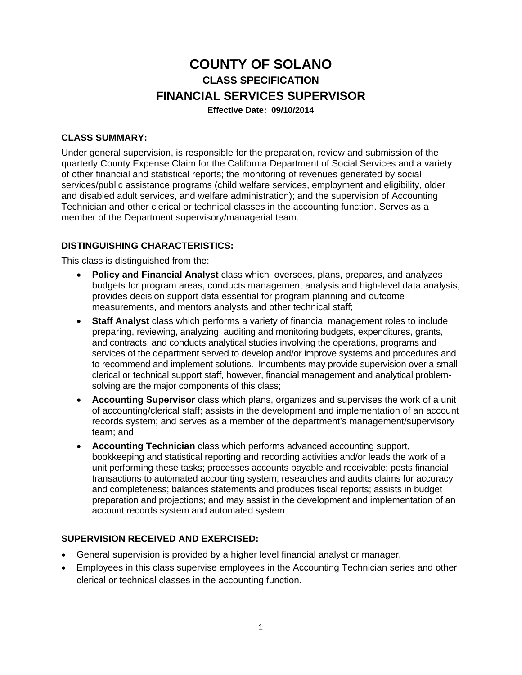# **COUNTY OF SOLANO CLASS SPECIFICATION FINANCIAL SERVICES SUPERVISOR**

**Effective Date: 09/10/2014** 

### **CLASS SUMMARY:**

Under general supervision, is responsible for the preparation, review and submission of the quarterly County Expense Claim for the California Department of Social Services and a variety of other financial and statistical reports; the monitoring of revenues generated by social services/public assistance programs (child welfare services, employment and eligibility, older and disabled adult services, and welfare administration); and the supervision of Accounting Technician and other clerical or technical classes in the accounting function. Serves as a member of the Department supervisory/managerial team.

## **DISTINGUISHING CHARACTERISTICS:**

This class is distinguished from the:

- **Policy and Financial Analyst** class which oversees, plans, prepares, and analyzes budgets for program areas, conducts management analysis and high-level data analysis, provides decision support data essential for program planning and outcome measurements, and mentors analysts and other technical staff;
- **Staff Analyst** class which performs a variety of financial management roles to include preparing, reviewing, analyzing, auditing and monitoring budgets, expenditures, grants, and contracts; and conducts analytical studies involving the operations, programs and services of the department served to develop and/or improve systems and procedures and to recommend and implement solutions. Incumbents may provide supervision over a small clerical or technical support staff, however, financial management and analytical problemsolving are the major components of this class;
- **Accounting Supervisor** class which plans, organizes and supervises the work of a unit of accounting/clerical staff; assists in the development and implementation of an account records system; and serves as a member of the department's management/supervisory team; and
- **Accounting Technician** class which performs advanced accounting support, bookkeeping and statistical reporting and recording activities and/or leads the work of a unit performing these tasks; processes accounts payable and receivable; posts financial transactions to automated accounting system; researches and audits claims for accuracy and completeness; balances statements and produces fiscal reports; assists in budget preparation and projections; and may assist in the development and implementation of an account records system and automated system

# **SUPERVISION RECEIVED AND EXERCISED:**

- General supervision is provided by a higher level financial analyst or manager.
- Employees in this class supervise employees in the Accounting Technician series and other clerical or technical classes in the accounting function.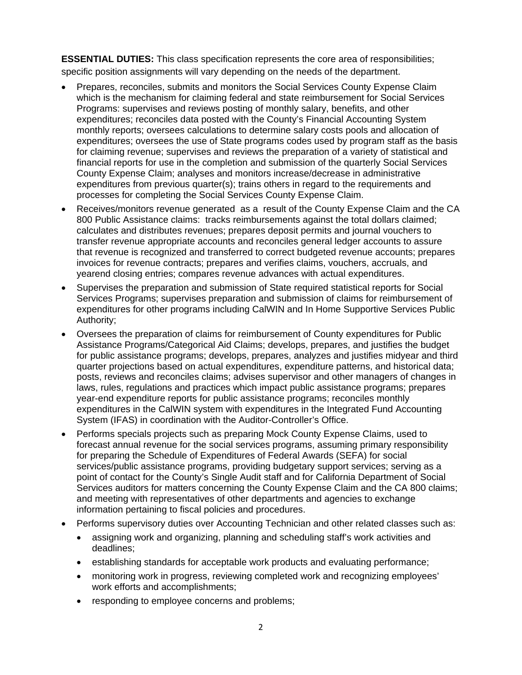**ESSENTIAL DUTIES:** This class specification represents the core area of responsibilities; specific position assignments will vary depending on the needs of the department.

- Prepares, reconciles, submits and monitors the Social Services County Expense Claim which is the mechanism for claiming federal and state reimbursement for Social Services Programs: supervises and reviews posting of monthly salary, benefits, and other expenditures; reconciles data posted with the County's Financial Accounting System monthly reports; oversees calculations to determine salary costs pools and allocation of expenditures; oversees the use of State programs codes used by program staff as the basis for claiming revenue; supervises and reviews the preparation of a variety of statistical and financial reports for use in the completion and submission of the quarterly Social Services County Expense Claim; analyses and monitors increase/decrease in administrative expenditures from previous quarter(s); trains others in regard to the requirements and processes for completing the Social Services County Expense Claim.
- Receives/monitors revenue generated as a result of the County Expense Claim and the CA 800 Public Assistance claims: tracks reimbursements against the total dollars claimed; calculates and distributes revenues; prepares deposit permits and journal vouchers to transfer revenue appropriate accounts and reconciles general ledger accounts to assure that revenue is recognized and transferred to correct budgeted revenue accounts; prepares invoices for revenue contracts; prepares and verifies claims, vouchers, accruals, and yearend closing entries; compares revenue advances with actual expenditures.
- Supervises the preparation and submission of State required statistical reports for Social Services Programs; supervises preparation and submission of claims for reimbursement of expenditures for other programs including CalWIN and In Home Supportive Services Public Authority;
- Oversees the preparation of claims for reimbursement of County expenditures for Public Assistance Programs/Categorical Aid Claims; develops, prepares, and justifies the budget for public assistance programs; develops, prepares, analyzes and justifies midyear and third quarter projections based on actual expenditures, expenditure patterns, and historical data; posts, reviews and reconciles claims; advises supervisor and other managers of changes in laws, rules, regulations and practices which impact public assistance programs; prepares year-end expenditure reports for public assistance programs; reconciles monthly expenditures in the CalWIN system with expenditures in the Integrated Fund Accounting System (IFAS) in coordination with the Auditor-Controller's Office.
- Performs specials projects such as preparing Mock County Expense Claims, used to forecast annual revenue for the social services programs, assuming primary responsibility for preparing the Schedule of Expenditures of Federal Awards (SEFA) for social services/public assistance programs, providing budgetary support services; serving as a point of contact for the County's Single Audit staff and for California Department of Social Services auditors for matters concerning the County Expense Claim and the CA 800 claims; and meeting with representatives of other departments and agencies to exchange information pertaining to fiscal policies and procedures.
- Performs supervisory duties over Accounting Technician and other related classes such as:
	- assigning work and organizing, planning and scheduling staff's work activities and deadlines;
	- establishing standards for acceptable work products and evaluating performance;
	- monitoring work in progress, reviewing completed work and recognizing employees' work efforts and accomplishments;
	- responding to employee concerns and problems;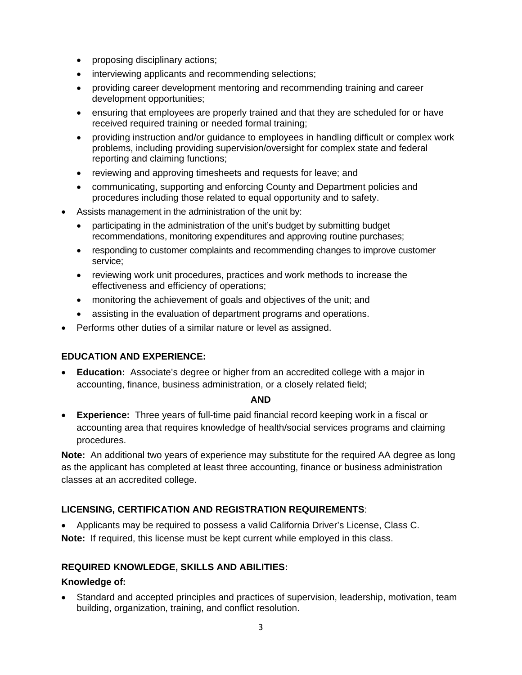- proposing disciplinary actions;
- interviewing applicants and recommending selections;
- providing career development mentoring and recommending training and career development opportunities;
- ensuring that employees are properly trained and that they are scheduled for or have received required training or needed formal training;
- providing instruction and/or guidance to employees in handling difficult or complex work problems, including providing supervision/oversight for complex state and federal reporting and claiming functions;
- reviewing and approving timesheets and requests for leave; and
- communicating, supporting and enforcing County and Department policies and procedures including those related to equal opportunity and to safety.
- Assists management in the administration of the unit by:
	- participating in the administration of the unit's budget by submitting budget recommendations, monitoring expenditures and approving routine purchases;
	- responding to customer complaints and recommending changes to improve customer service;
	- reviewing work unit procedures, practices and work methods to increase the effectiveness and efficiency of operations;
	- monitoring the achievement of goals and objectives of the unit; and
	- assisting in the evaluation of department programs and operations.
- Performs other duties of a similar nature or level as assigned.

# **EDUCATION AND EXPERIENCE:**

 **Education:** Associate's degree or higher from an accredited college with a major in accounting, finance, business administration, or a closely related field;

#### **AND**

 **Experience:** Three years of full-time paid financial record keeping work in a fiscal or accounting area that requires knowledge of health/social services programs and claiming procedures.

**Note:** An additional two years of experience may substitute for the required AA degree as long as the applicant has completed at least three accounting, finance or business administration classes at an accredited college.

# **LICENSING, CERTIFICATION AND REGISTRATION REQUIREMENTS**:

 Applicants may be required to possess a valid California Driver's License, Class C. **Note:** If required, this license must be kept current while employed in this class.

# **REQUIRED KNOWLEDGE, SKILLS AND ABILITIES:**

#### **Knowledge of:**

 Standard and accepted principles and practices of supervision, leadership, motivation, team building, organization, training, and conflict resolution.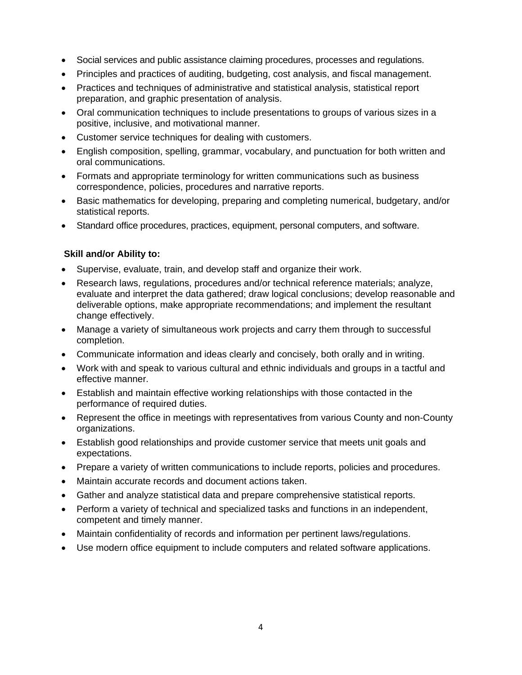- Social services and public assistance claiming procedures, processes and regulations.
- Principles and practices of auditing, budgeting, cost analysis, and fiscal management.
- Practices and techniques of administrative and statistical analysis, statistical report preparation, and graphic presentation of analysis.
- Oral communication techniques to include presentations to groups of various sizes in a positive, inclusive, and motivational manner.
- Customer service techniques for dealing with customers.
- English composition, spelling, grammar, vocabulary, and punctuation for both written and oral communications.
- Formats and appropriate terminology for written communications such as business correspondence, policies, procedures and narrative reports.
- Basic mathematics for developing, preparing and completing numerical, budgetary, and/or statistical reports.
- Standard office procedures, practices, equipment, personal computers, and software.

#### **Skill and/or Ability to:**

- Supervise, evaluate, train, and develop staff and organize their work.
- Research laws, regulations, procedures and/or technical reference materials; analyze, evaluate and interpret the data gathered; draw logical conclusions; develop reasonable and deliverable options, make appropriate recommendations; and implement the resultant change effectively.
- Manage a variety of simultaneous work projects and carry them through to successful completion.
- Communicate information and ideas clearly and concisely, both orally and in writing.
- Work with and speak to various cultural and ethnic individuals and groups in a tactful and effective manner.
- Establish and maintain effective working relationships with those contacted in the performance of required duties.
- Represent the office in meetings with representatives from various County and non-County organizations.
- Establish good relationships and provide customer service that meets unit goals and expectations.
- Prepare a variety of written communications to include reports, policies and procedures.
- Maintain accurate records and document actions taken.
- Gather and analyze statistical data and prepare comprehensive statistical reports.
- Perform a variety of technical and specialized tasks and functions in an independent, competent and timely manner.
- Maintain confidentiality of records and information per pertinent laws/regulations.
- Use modern office equipment to include computers and related software applications.